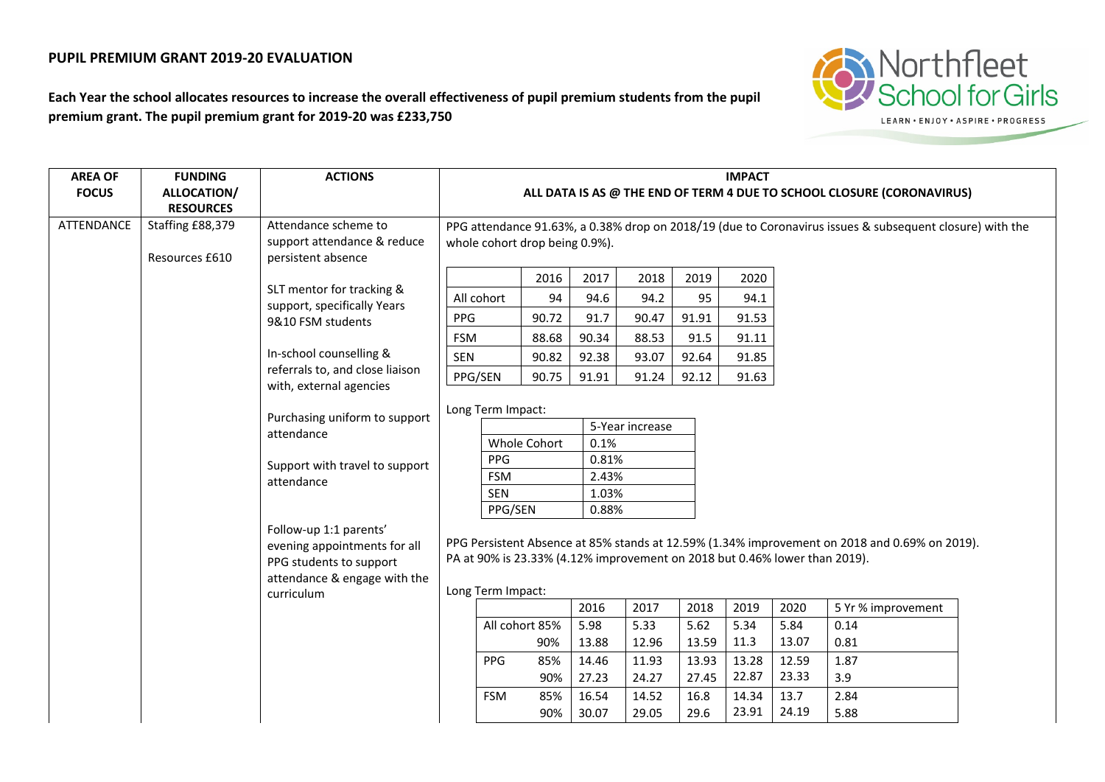## **PUPIL PREMIUM GRANT 2019-20 EVALUATION**



**Each Year the school allocates resources to increase the overall effectiveness of pupil premium students from the pupil premium grant. The pupil premium grant for 2019-20 was £233,750**

| <b>AREA OF</b> | <b>FUNDING</b>   | <b>ACTIONS</b>                                                                                                                    | <b>IMPACT</b>                                                                                            |                                      |       |       |       |       |       |       |                    |  |
|----------------|------------------|-----------------------------------------------------------------------------------------------------------------------------------|----------------------------------------------------------------------------------------------------------|--------------------------------------|-------|-------|-------|-------|-------|-------|--------------------|--|
| <b>FOCUS</b>   | ALLOCATION/      |                                                                                                                                   | ALL DATA IS AS @ THE END OF TERM 4 DUE TO SCHOOL CLOSURE (CORONAVIRUS)                                   |                                      |       |       |       |       |       |       |                    |  |
|                | <b>RESOURCES</b> |                                                                                                                                   |                                                                                                          |                                      |       |       |       |       |       |       |                    |  |
| ATTENDANCE     | Staffing £88,379 | Attendance scheme to                                                                                                              | PPG attendance 91.63%, a 0.38% drop on 2018/19 (due to Coronavirus issues & subsequent closure) with the |                                      |       |       |       |       |       |       |                    |  |
|                |                  | support attendance & reduce                                                                                                       | whole cohort drop being 0.9%).                                                                           |                                      |       |       |       |       |       |       |                    |  |
|                | Resources £610   | persistent absence                                                                                                                |                                                                                                          |                                      |       |       |       |       |       |       |                    |  |
|                |                  |                                                                                                                                   |                                                                                                          |                                      | 2016  | 2017  | 2018  | 2019  | 2020  |       |                    |  |
|                |                  | SLT mentor for tracking &                                                                                                         |                                                                                                          | All cohort                           | 94    | 94.6  | 94.2  | 95    | 94.1  |       |                    |  |
|                |                  | support, specifically Years                                                                                                       | <b>PPG</b>                                                                                               |                                      | 90.72 | 91.7  | 90.47 | 91.91 | 91.53 |       |                    |  |
|                |                  | 9&10 FSM students                                                                                                                 | <b>FSM</b>                                                                                               |                                      | 88.68 | 90.34 | 88.53 | 91.5  | 91.11 |       |                    |  |
|                |                  | In-school counselling &                                                                                                           | SEN                                                                                                      |                                      | 90.82 | 92.38 | 93.07 | 92.64 | 91.85 |       |                    |  |
|                |                  | referrals to, and close liaison                                                                                                   |                                                                                                          |                                      |       |       |       |       |       |       |                    |  |
|                |                  | with, external agencies                                                                                                           | PPG/SEN                                                                                                  |                                      | 90.75 | 91.91 | 91.24 | 92.12 | 91.63 |       |                    |  |
|                |                  | Purchasing uniform to support<br>attendance                                                                                       |                                                                                                          |                                      |       |       |       |       |       |       |                    |  |
|                |                  |                                                                                                                                   |                                                                                                          | Long Term Impact:<br>5-Year increase |       |       |       |       |       |       |                    |  |
|                |                  |                                                                                                                                   |                                                                                                          | Whole Cohort                         |       | 0.1%  |       |       |       |       |                    |  |
|                |                  | Support with travel to support<br>attendance<br>Follow-up 1:1 parents'<br>evening appointments for all<br>PPG students to support |                                                                                                          | PPG                                  |       |       | 0.81% |       |       |       |                    |  |
|                |                  |                                                                                                                                   |                                                                                                          | <b>FSM</b>                           |       |       | 2.43% |       |       |       |                    |  |
|                |                  |                                                                                                                                   |                                                                                                          | <b>SEN</b>                           |       |       | 1.03% |       |       |       |                    |  |
|                |                  |                                                                                                                                   |                                                                                                          | PPG/SEN                              |       |       | 0.88% |       |       |       |                    |  |
|                |                  |                                                                                                                                   |                                                                                                          |                                      |       |       |       |       |       |       |                    |  |
|                |                  |                                                                                                                                   | PPG Persistent Absence at 85% stands at 12.59% (1.34% improvement on 2018 and 0.69% on 2019).            |                                      |       |       |       |       |       |       |                    |  |
|                |                  |                                                                                                                                   | PA at 90% is 23.33% (4.12% improvement on 2018 but 0.46% lower than 2019).                               |                                      |       |       |       |       |       |       |                    |  |
|                |                  | attendance & engage with the                                                                                                      |                                                                                                          |                                      |       |       |       |       |       |       |                    |  |
|                |                  | curriculum                                                                                                                        |                                                                                                          | Long Term Impact:                    |       |       |       |       |       |       |                    |  |
|                |                  |                                                                                                                                   |                                                                                                          |                                      |       | 2016  | 2017  | 2018  | 2019  | 2020  | 5 Yr % improvement |  |
|                |                  |                                                                                                                                   |                                                                                                          | All cohort 85%                       |       | 5.98  | 5.33  | 5.62  | 5.34  | 5.84  | 0.14               |  |
|                |                  |                                                                                                                                   |                                                                                                          |                                      | 90%   | 13.88 | 12.96 | 13.59 | 11.3  | 13.07 | 0.81               |  |
|                |                  |                                                                                                                                   |                                                                                                          | <b>PPG</b>                           | 85%   | 14.46 | 11.93 | 13.93 | 13.28 | 12.59 | 1.87               |  |
|                |                  |                                                                                                                                   | 90%                                                                                                      |                                      | 27.23 | 24.27 | 27.45 | 22.87 | 23.33 | 3.9   |                    |  |
|                |                  |                                                                                                                                   |                                                                                                          | <b>FSM</b>                           | 85%   | 16.54 | 14.52 | 16.8  | 14.34 | 13.7  | 2.84               |  |
|                |                  |                                                                                                                                   |                                                                                                          |                                      | 90%   | 30.07 | 29.05 | 29.6  | 23.91 | 24.19 | 5.88               |  |
|                |                  |                                                                                                                                   |                                                                                                          |                                      |       |       |       |       |       |       |                    |  |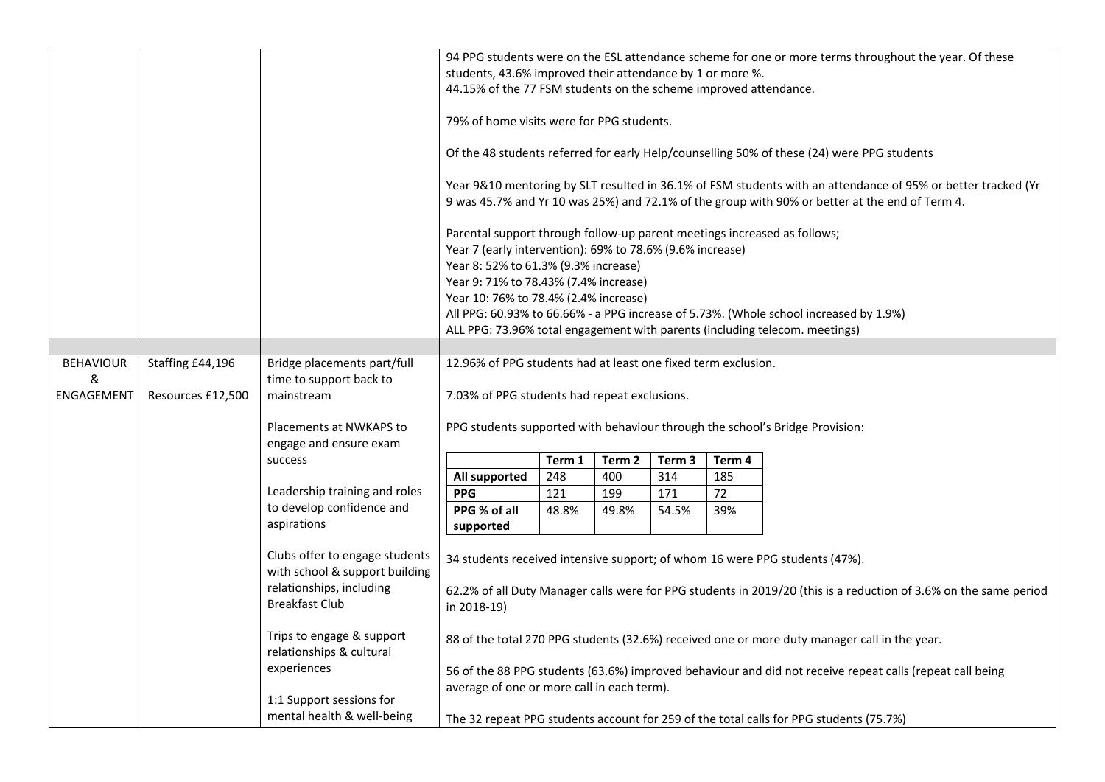|                  |                   |                                                                  | 94 PPG students were on the ESL attendance scheme for one or more terms throughout the year. Of these                                                                                                                           |        |        |                   |        |                                                                                                          |  |  |  |
|------------------|-------------------|------------------------------------------------------------------|---------------------------------------------------------------------------------------------------------------------------------------------------------------------------------------------------------------------------------|--------|--------|-------------------|--------|----------------------------------------------------------------------------------------------------------|--|--|--|
|                  |                   |                                                                  | students, 43.6% improved their attendance by 1 or more %.                                                                                                                                                                       |        |        |                   |        |                                                                                                          |  |  |  |
|                  |                   |                                                                  | 44.15% of the 77 FSM students on the scheme improved attendance.                                                                                                                                                                |        |        |                   |        |                                                                                                          |  |  |  |
|                  |                   |                                                                  | 79% of home visits were for PPG students.                                                                                                                                                                                       |        |        |                   |        |                                                                                                          |  |  |  |
|                  |                   |                                                                  | Of the 48 students referred for early Help/counselling 50% of these (24) were PPG students                                                                                                                                      |        |        |                   |        |                                                                                                          |  |  |  |
|                  |                   |                                                                  | Year 9&10 mentoring by SLT resulted in 36.1% of FSM students with an attendance of 95% or better tracked (Yr<br>9 was 45.7% and Yr 10 was 25%) and 72.1% of the group with 90% or better at the end of Term 4.                  |        |        |                   |        |                                                                                                          |  |  |  |
|                  |                   |                                                                  | Parental support through follow-up parent meetings increased as follows;<br>Year 7 (early intervention): 69% to 78.6% (9.6% increase)<br>Year 8: 52% to 61.3% (9.3% increase)                                                   |        |        |                   |        |                                                                                                          |  |  |  |
|                  |                   |                                                                  | Year 9: 71% to 78.43% (7.4% increase)                                                                                                                                                                                           |        |        |                   |        |                                                                                                          |  |  |  |
|                  |                   |                                                                  | Year 10: 76% to 78.4% (2.4% increase)                                                                                                                                                                                           |        |        |                   |        |                                                                                                          |  |  |  |
|                  |                   |                                                                  | All PPG: 60.93% to 66.66% - a PPG increase of 5.73%. (Whole school increased by 1.9%)                                                                                                                                           |        |        |                   |        |                                                                                                          |  |  |  |
|                  |                   |                                                                  | ALL PPG: 73.96% total engagement with parents (including telecom. meetings)                                                                                                                                                     |        |        |                   |        |                                                                                                          |  |  |  |
|                  |                   |                                                                  |                                                                                                                                                                                                                                 |        |        |                   |        |                                                                                                          |  |  |  |
| <b>BEHAVIOUR</b> | Staffing £44,196  | Bridge placements part/full                                      | 12.96% of PPG students had at least one fixed term exclusion.                                                                                                                                                                   |        |        |                   |        |                                                                                                          |  |  |  |
| &<br>ENGAGEMENT  | Resources £12,500 | time to support back to<br>mainstream                            | 7.03% of PPG students had repeat exclusions.                                                                                                                                                                                    |        |        |                   |        |                                                                                                          |  |  |  |
|                  |                   | Placements at NWKAPS to<br>engage and ensure exam                |                                                                                                                                                                                                                                 |        |        |                   |        | PPG students supported with behaviour through the school's Bridge Provision:                             |  |  |  |
|                  |                   | success                                                          |                                                                                                                                                                                                                                 | Term 1 | Term 2 | Term <sub>3</sub> | Term 4 |                                                                                                          |  |  |  |
|                  |                   |                                                                  | All supported                                                                                                                                                                                                                   | 248    | 400    | 314               | 185    |                                                                                                          |  |  |  |
|                  |                   | Leadership training and roles                                    | <b>PPG</b>                                                                                                                                                                                                                      | 121    | 199    | 171               | 72     |                                                                                                          |  |  |  |
|                  |                   | to develop confidence and<br>aspirations                         | PPG % of all<br>supported                                                                                                                                                                                                       | 48.8%  | 49.8%  | 54.5%             | 39%    |                                                                                                          |  |  |  |
|                  |                   | Clubs offer to engage students<br>with school & support building |                                                                                                                                                                                                                                 |        |        |                   |        | 34 students received intensive support; of whom 16 were PPG students (47%).                              |  |  |  |
|                  |                   | relationships, including<br><b>Breakfast Club</b>                | 62.2% of all Duty Manager calls were for PPG students in 2019/20 (this is a reduction of 3.6% on the same period<br>in 2018-19)<br>88 of the total 270 PPG students (32.6%) received one or more duty manager call in the year. |        |        |                   |        |                                                                                                          |  |  |  |
|                  |                   | Trips to engage & support<br>relationships & cultural            |                                                                                                                                                                                                                                 |        |        |                   |        |                                                                                                          |  |  |  |
|                  |                   | experiences                                                      |                                                                                                                                                                                                                                 |        |        |                   |        | 56 of the 88 PPG students (63.6%) improved behaviour and did not receive repeat calls (repeat call being |  |  |  |
|                  |                   |                                                                  | average of one or more call in each term).                                                                                                                                                                                      |        |        |                   |        |                                                                                                          |  |  |  |
|                  |                   | 1:1 Support sessions for                                         |                                                                                                                                                                                                                                 |        |        |                   |        |                                                                                                          |  |  |  |
|                  |                   | mental health & well-being                                       | The 32 repeat PPG students account for 259 of the total calls for PPG students (75.7%)                                                                                                                                          |        |        |                   |        |                                                                                                          |  |  |  |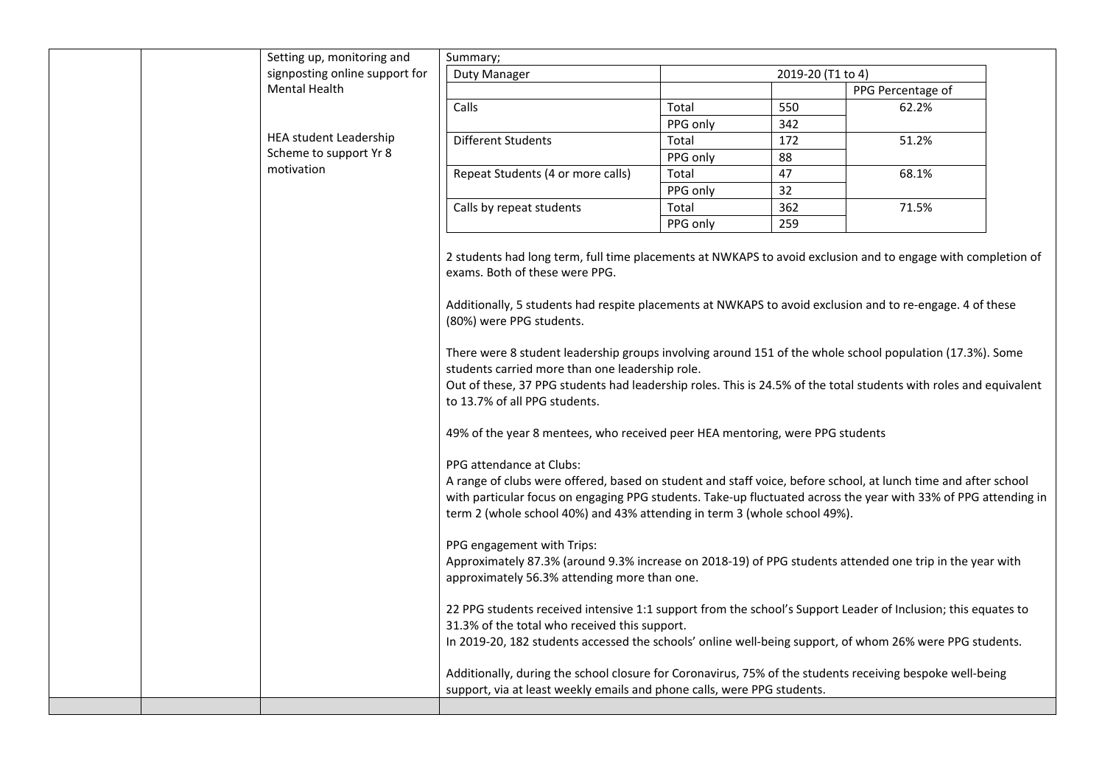| Setting up, monitoring and     | Summary;                                                                                                                                                                                                                                                                                                                                                                                                                                                                                                                                                                                                                                                                                                                                                                                                                                                                                                                                                                                                                                                                                                                                                                                                                                                                                                                                                                                                                                                                                                                                                  |          |                   |                   |  |  |  |
|--------------------------------|-----------------------------------------------------------------------------------------------------------------------------------------------------------------------------------------------------------------------------------------------------------------------------------------------------------------------------------------------------------------------------------------------------------------------------------------------------------------------------------------------------------------------------------------------------------------------------------------------------------------------------------------------------------------------------------------------------------------------------------------------------------------------------------------------------------------------------------------------------------------------------------------------------------------------------------------------------------------------------------------------------------------------------------------------------------------------------------------------------------------------------------------------------------------------------------------------------------------------------------------------------------------------------------------------------------------------------------------------------------------------------------------------------------------------------------------------------------------------------------------------------------------------------------------------------------|----------|-------------------|-------------------|--|--|--|
| signposting online support for | <b>Duty Manager</b>                                                                                                                                                                                                                                                                                                                                                                                                                                                                                                                                                                                                                                                                                                                                                                                                                                                                                                                                                                                                                                                                                                                                                                                                                                                                                                                                                                                                                                                                                                                                       |          | 2019-20 (T1 to 4) |                   |  |  |  |
| <b>Mental Health</b>           |                                                                                                                                                                                                                                                                                                                                                                                                                                                                                                                                                                                                                                                                                                                                                                                                                                                                                                                                                                                                                                                                                                                                                                                                                                                                                                                                                                                                                                                                                                                                                           |          |                   | PPG Percentage of |  |  |  |
|                                | Calls                                                                                                                                                                                                                                                                                                                                                                                                                                                                                                                                                                                                                                                                                                                                                                                                                                                                                                                                                                                                                                                                                                                                                                                                                                                                                                                                                                                                                                                                                                                                                     | Total    | 550               | 62.2%             |  |  |  |
|                                |                                                                                                                                                                                                                                                                                                                                                                                                                                                                                                                                                                                                                                                                                                                                                                                                                                                                                                                                                                                                                                                                                                                                                                                                                                                                                                                                                                                                                                                                                                                                                           | PPG only | 342               |                   |  |  |  |
| <b>HEA student Leadership</b>  | Different Students                                                                                                                                                                                                                                                                                                                                                                                                                                                                                                                                                                                                                                                                                                                                                                                                                                                                                                                                                                                                                                                                                                                                                                                                                                                                                                                                                                                                                                                                                                                                        | Total    | 172               | 51.2%             |  |  |  |
| Scheme to support Yr 8         |                                                                                                                                                                                                                                                                                                                                                                                                                                                                                                                                                                                                                                                                                                                                                                                                                                                                                                                                                                                                                                                                                                                                                                                                                                                                                                                                                                                                                                                                                                                                                           | PPG only | 88                |                   |  |  |  |
| motivation                     | Repeat Students (4 or more calls)                                                                                                                                                                                                                                                                                                                                                                                                                                                                                                                                                                                                                                                                                                                                                                                                                                                                                                                                                                                                                                                                                                                                                                                                                                                                                                                                                                                                                                                                                                                         | Total    | 47                | 68.1%             |  |  |  |
|                                |                                                                                                                                                                                                                                                                                                                                                                                                                                                                                                                                                                                                                                                                                                                                                                                                                                                                                                                                                                                                                                                                                                                                                                                                                                                                                                                                                                                                                                                                                                                                                           | PPG only | 32                |                   |  |  |  |
|                                | Calls by repeat students                                                                                                                                                                                                                                                                                                                                                                                                                                                                                                                                                                                                                                                                                                                                                                                                                                                                                                                                                                                                                                                                                                                                                                                                                                                                                                                                                                                                                                                                                                                                  | Total    | 362               | 71.5%             |  |  |  |
|                                |                                                                                                                                                                                                                                                                                                                                                                                                                                                                                                                                                                                                                                                                                                                                                                                                                                                                                                                                                                                                                                                                                                                                                                                                                                                                                                                                                                                                                                                                                                                                                           | PPG only | 259               |                   |  |  |  |
|                                | Additionally, 5 students had respite placements at NWKAPS to avoid exclusion and to re-engage. 4 of these<br>(80%) were PPG students.<br>There were 8 student leadership groups involving around 151 of the whole school population (17.3%). Some<br>students carried more than one leadership role.<br>Out of these, 37 PPG students had leadership roles. This is 24.5% of the total students with roles and equivalent<br>to 13.7% of all PPG students.<br>49% of the year 8 mentees, who received peer HEA mentoring, were PPG students<br>PPG attendance at Clubs:<br>A range of clubs were offered, based on student and staff voice, before school, at lunch time and after school<br>with particular focus on engaging PPG students. Take-up fluctuated across the year with 33% of PPG attending in<br>term 2 (whole school 40%) and 43% attending in term 3 (whole school 49%).<br>PPG engagement with Trips:<br>Approximately 87.3% (around 9.3% increase on 2018-19) of PPG students attended one trip in the year with<br>approximately 56.3% attending more than one.<br>22 PPG students received intensive 1:1 support from the school's Support Leader of Inclusion; this equates to<br>31.3% of the total who received this support.<br>In 2019-20, 182 students accessed the schools' online well-being support, of whom 26% were PPG students.<br>Additionally, during the school closure for Coronavirus, 75% of the students receiving bespoke well-being<br>support, via at least weekly emails and phone calls, were PPG students. |          |                   |                   |  |  |  |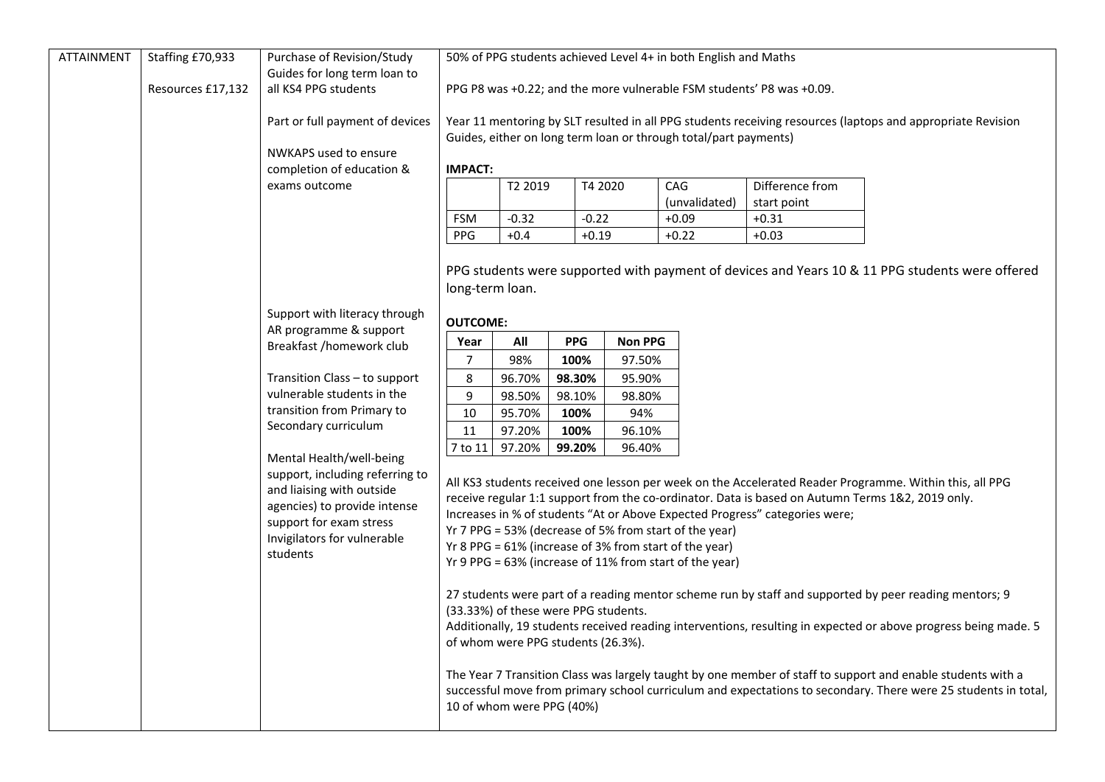| <b>ATTAINMENT</b> | Staffing £70,933  | Purchase of Revision/Study<br>Guides for long term loan to                                                                                                                | 50% of PPG students achieved Level 4+ in both English and Maths                                                                                                                                                                                            |                |         |        |                 |             |                                                                                                         |  |  |
|-------------------|-------------------|---------------------------------------------------------------------------------------------------------------------------------------------------------------------------|------------------------------------------------------------------------------------------------------------------------------------------------------------------------------------------------------------------------------------------------------------|----------------|---------|--------|-----------------|-------------|---------------------------------------------------------------------------------------------------------|--|--|
|                   | Resources £17,132 | all KS4 PPG students                                                                                                                                                      | PPG P8 was +0.22; and the more vulnerable FSM students' P8 was +0.09.                                                                                                                                                                                      |                |         |        |                 |             |                                                                                                         |  |  |
|                   |                   | Part or full payment of devices                                                                                                                                           | Year 11 mentoring by SLT resulted in all PPG students receiving resources (laptops and appropriate Revision<br>Guides, either on long term loan or through total/part payments)                                                                            |                |         |        |                 |             |                                                                                                         |  |  |
|                   |                   | NWKAPS used to ensure                                                                                                                                                     |                                                                                                                                                                                                                                                            |                |         |        |                 |             |                                                                                                         |  |  |
|                   |                   | completion of education &                                                                                                                                                 | <b>IMPACT:</b>                                                                                                                                                                                                                                             |                |         |        |                 |             |                                                                                                         |  |  |
|                   |                   | exams outcome                                                                                                                                                             | T2 2019<br>T4 2020                                                                                                                                                                                                                                         |                |         | CAG    | Difference from |             |                                                                                                         |  |  |
|                   |                   |                                                                                                                                                                           |                                                                                                                                                                                                                                                            |                |         |        | (unvalidated)   | start point |                                                                                                         |  |  |
|                   |                   |                                                                                                                                                                           | <b>FSM</b>                                                                                                                                                                                                                                                 | $-0.32$        | $-0.22$ |        | $+0.09$         | $+0.31$     |                                                                                                         |  |  |
|                   |                   |                                                                                                                                                                           | PPG                                                                                                                                                                                                                                                        | $+0.4$         | $+0.19$ |        | $+0.22$         | $+0.03$     |                                                                                                         |  |  |
|                   |                   |                                                                                                                                                                           |                                                                                                                                                                                                                                                            |                |         |        |                 |             |                                                                                                         |  |  |
|                   |                   |                                                                                                                                                                           |                                                                                                                                                                                                                                                            |                |         |        |                 |             | PPG students were supported with payment of devices and Years 10 & 11 PPG students were offered         |  |  |
|                   |                   |                                                                                                                                                                           | long-term loan.                                                                                                                                                                                                                                            |                |         |        |                 |             |                                                                                                         |  |  |
|                   |                   | Support with literacy through                                                                                                                                             | <b>OUTCOME:</b>                                                                                                                                                                                                                                            |                |         |        |                 |             |                                                                                                         |  |  |
|                   |                   | AR programme & support                                                                                                                                                    | <b>PPG</b>                                                                                                                                                                                                                                                 | <b>Non PPG</b> |         |        |                 |             |                                                                                                         |  |  |
|                   |                   | Breakfast /homework club<br>Transition Class - to support<br>vulnerable students in the<br>transition from Primary to<br>Secondary curriculum<br>Mental Health/well-being | Year<br>7                                                                                                                                                                                                                                                  | All<br>98%     | 100%    | 97.50% |                 |             |                                                                                                         |  |  |
|                   |                   |                                                                                                                                                                           | 8                                                                                                                                                                                                                                                          | 96.70%         | 98.30%  | 95.90% |                 |             |                                                                                                         |  |  |
|                   |                   |                                                                                                                                                                           | 9                                                                                                                                                                                                                                                          | 98.50%         | 98.10%  | 98.80% |                 |             |                                                                                                         |  |  |
|                   |                   |                                                                                                                                                                           | 10                                                                                                                                                                                                                                                         | 95.70%         | 100%    | 94%    |                 |             |                                                                                                         |  |  |
|                   |                   |                                                                                                                                                                           | 11                                                                                                                                                                                                                                                         | 97.20%         | 100%    | 96.10% |                 |             |                                                                                                         |  |  |
|                   |                   |                                                                                                                                                                           | 7 to 11                                                                                                                                                                                                                                                    | 97.20%         | 99.20%  | 96.40% |                 |             |                                                                                                         |  |  |
|                   |                   |                                                                                                                                                                           |                                                                                                                                                                                                                                                            |                |         |        |                 |             |                                                                                                         |  |  |
|                   |                   | support, including referring to                                                                                                                                           |                                                                                                                                                                                                                                                            |                |         |        |                 |             | All KS3 students received one lesson per week on the Accelerated Reader Programme. Within this, all PPG |  |  |
|                   |                   | and liaising with outside<br>agencies) to provide intense<br>support for exam stress                                                                                      | receive regular 1:1 support from the co-ordinator. Data is based on Autumn Terms 1&2, 2019 only.                                                                                                                                                           |                |         |        |                 |             |                                                                                                         |  |  |
|                   |                   |                                                                                                                                                                           | Increases in % of students "At or Above Expected Progress" categories were;                                                                                                                                                                                |                |         |        |                 |             |                                                                                                         |  |  |
|                   |                   | Invigilators for vulnerable                                                                                                                                               | Yr 7 PPG = 53% (decrease of 5% from start of the year)                                                                                                                                                                                                     |                |         |        |                 |             |                                                                                                         |  |  |
|                   |                   | students                                                                                                                                                                  | Yr 8 PPG = 61% (increase of 3% from start of the year)                                                                                                                                                                                                     |                |         |        |                 |             |                                                                                                         |  |  |
|                   |                   |                                                                                                                                                                           | Yr 9 PPG = 63% (increase of 11% from start of the year)                                                                                                                                                                                                    |                |         |        |                 |             |                                                                                                         |  |  |
|                   |                   |                                                                                                                                                                           | 27 students were part of a reading mentor scheme run by staff and supported by peer reading mentors; 9                                                                                                                                                     |                |         |        |                 |             |                                                                                                         |  |  |
|                   |                   |                                                                                                                                                                           | (33.33%) of these were PPG students.<br>Additionally, 19 students received reading interventions, resulting in expected or above progress being made. 5<br>of whom were PPG students (26.3%).                                                              |                |         |        |                 |             |                                                                                                         |  |  |
|                   |                   |                                                                                                                                                                           |                                                                                                                                                                                                                                                            |                |         |        |                 |             |                                                                                                         |  |  |
|                   |                   |                                                                                                                                                                           | The Year 7 Transition Class was largely taught by one member of staff to support and enable students with a<br>successful move from primary school curriculum and expectations to secondary. There were 25 students in total,<br>10 of whom were PPG (40%) |                |         |        |                 |             |                                                                                                         |  |  |
|                   |                   |                                                                                                                                                                           |                                                                                                                                                                                                                                                            |                |         |        |                 |             |                                                                                                         |  |  |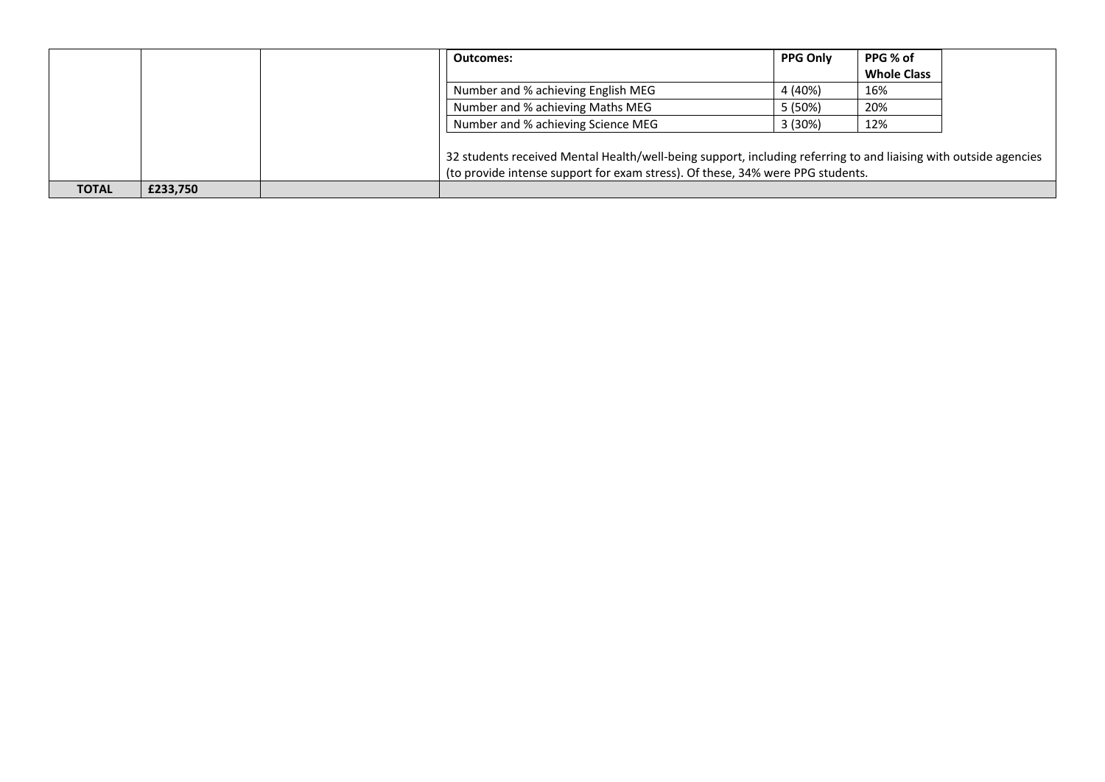|              |          | Outcomes:                                                                                                                                                                                          | <b>PPG Only</b> | PPG % of<br><b>Whole Class</b> |  |
|--------------|----------|----------------------------------------------------------------------------------------------------------------------------------------------------------------------------------------------------|-----------------|--------------------------------|--|
|              |          | Number and % achieving English MEG                                                                                                                                                                 | 4 (40%)         | 16%                            |  |
|              |          | Number and % achieving Maths MEG                                                                                                                                                                   | 5 (50%)         | 20%                            |  |
|              |          | Number and % achieving Science MEG                                                                                                                                                                 | 3 (30%)         | 12%                            |  |
|              |          | 32 students received Mental Health/well-being support, including referring to and liaising with outside agencies<br>(to provide intense support for exam stress). Of these, 34% were PPG students. |                 |                                |  |
| <b>TOTAL</b> | £233,750 |                                                                                                                                                                                                    |                 |                                |  |